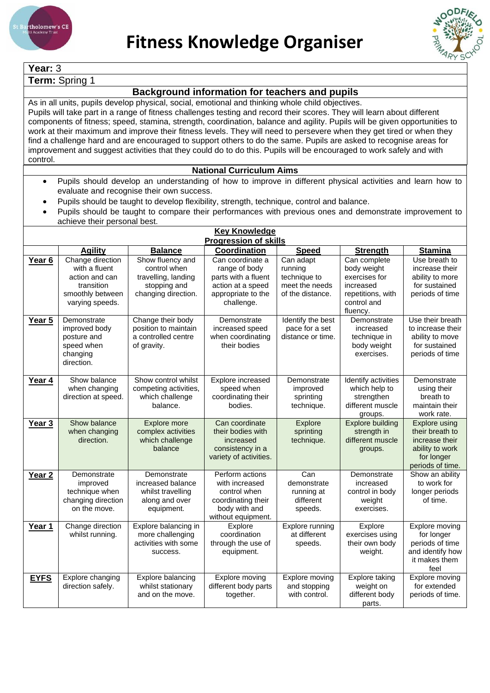



**Year:** 3

**Term:** Spring 1

## **Background information for teachers and pupils**

As in all units, pupils develop physical, social, emotional and thinking whole child objectives. Pupils will take part in a range of fitness challenges testing and record their scores. They will learn about different components of fitness; speed, stamina, strength, coordination, balance and agility. Pupils will be given opportunities to work at their maximum and improve their fitness levels. They will need to persevere when they get tired or when they find a challenge hard and are encouraged to support others to do the same. Pupils are asked to recognise areas for improvement and suggest activities that they could do to do this. Pupils will be encouraged to work safely and with control.

## **National Curriculum Aims**

- Pupils should develop an understanding of how to improve in different physical activities and learn how to evaluate and recognise their own success.
- Pupils should be taught to develop flexibility, strength, technique, control and balance.
- Pupils should be taught to compare their performances with previous ones and demonstrate improvement to achieve their personal best.

| <b>Key Knowledge</b> |                                                                                                          |                                                                                                |                                                                                                                   |                                                                            |                                                                                                           |                                                                                                                |  |  |
|----------------------|----------------------------------------------------------------------------------------------------------|------------------------------------------------------------------------------------------------|-------------------------------------------------------------------------------------------------------------------|----------------------------------------------------------------------------|-----------------------------------------------------------------------------------------------------------|----------------------------------------------------------------------------------------------------------------|--|--|
|                      | <b>Progression of skills</b>                                                                             |                                                                                                |                                                                                                                   |                                                                            |                                                                                                           |                                                                                                                |  |  |
|                      | <b>Agility</b>                                                                                           | <b>Balance</b>                                                                                 | Coordination                                                                                                      | <b>Speed</b>                                                               | <b>Strength</b>                                                                                           | <b>Stamina</b>                                                                                                 |  |  |
| Year <sub>6</sub>    | Change direction<br>with a fluent<br>action and can<br>transition<br>smoothly between<br>varying speeds. | Show fluency and<br>control when<br>travelling, landing<br>stopping and<br>changing direction. | Can coordinate a<br>range of body<br>parts with a fluent<br>action at a speed<br>appropriate to the<br>challenge. | Can adapt<br>running<br>technique to<br>meet the needs<br>of the distance. | Can complete<br>body weight<br>exercises for<br>increased<br>repetitions, with<br>control and<br>fluency. | Use breath to<br>increase their<br>ability to more<br>for sustained<br>periods of time                         |  |  |
| Year 5               | Demonstrate<br>improved body<br>posture and<br>speed when<br>changing<br>direction.                      | Change their body<br>position to maintain<br>a controlled centre<br>of gravity.                | Demonstrate<br>increased speed<br>when coordinating<br>their bodies                                               | Identify the best<br>pace for a set<br>distance or time.                   | Demonstrate<br>increased<br>technique in<br>body weight<br>exercises.                                     | Use their breath<br>to increase their<br>ability to move<br>for sustained<br>periods of time                   |  |  |
| Year 4               | Show balance<br>when changing<br>direction at speed.                                                     | Show control whilst<br>competing activities,<br>which challenge<br>balance.                    | Explore increased<br>speed when<br>coordinating their<br>bodies.                                                  | Demonstrate<br>improved<br>sprinting<br>technique.                         | Identify activities<br>which help to<br>strengthen<br>different muscle<br>groups.                         | Demonstrate<br>using their<br>breath to<br>maintain their<br>work rate.                                        |  |  |
| Year <sub>3</sub>    | Show balance<br>when changing<br>direction.                                                              | Explore more<br>complex activities<br>which challenge<br>balance                               | Can coordinate<br>their bodies with<br>increased<br>consistency in a<br>variety of activities.                    | Explore<br>sprinting<br>technique.                                         | <b>Explore building</b><br>strength in<br>different muscle<br>groups.                                     | <b>Explore using</b><br>their breath to<br>increase their<br>ability to work<br>for longer<br>periods of time. |  |  |
| Year <sub>2</sub>    | Demonstrate<br>improved<br>technique when<br>changing direction<br>on the move.                          | Demonstrate<br>increased balance<br>whilst travelling<br>along and over<br>equipment.          | Perform actions<br>with increased<br>control when<br>coordinating their<br>body with and<br>without equipment.    | $\overline{Can}$<br>demonstrate<br>running at<br>different<br>speeds.      | Demonstrate<br>increased<br>control in body<br>weight<br>exercises.                                       | Show an ability<br>to work for<br>longer periods<br>of time.                                                   |  |  |
| Year 1               | Change direction<br>whilst running.                                                                      | Explore balancing in<br>more challenging<br>activities with some<br>success.                   | Explore<br>coordination<br>through the use of<br>equipment.                                                       | Explore running<br>at different<br>speeds.                                 | Explore<br>exercises using<br>their own body<br>weight.                                                   | Explore moving<br>for longer<br>periods of time<br>and identify how<br>it makes them<br>feel                   |  |  |
| <b>EYFS</b>          | Explore changing<br>direction safely.                                                                    | Explore balancing<br>whilst stationary<br>and on the move.                                     | Explore moving<br>different body parts<br>together.                                                               | Explore moving<br>and stopping<br>with control.                            | <b>Explore taking</b><br>weight on<br>different body<br>parts.                                            | Explore moving<br>for extended<br>periods of time.                                                             |  |  |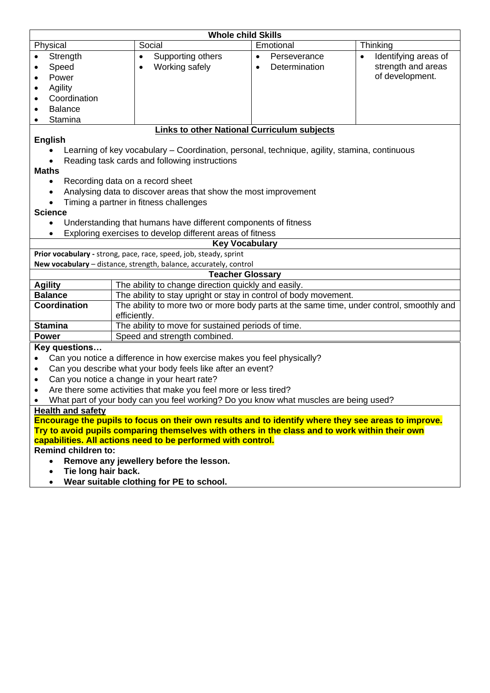| <b>Whole child Skills</b>                                                                                                                                                                             |                                                                                              |                                                                                          |                                   |  |  |  |  |
|-------------------------------------------------------------------------------------------------------------------------------------------------------------------------------------------------------|----------------------------------------------------------------------------------------------|------------------------------------------------------------------------------------------|-----------------------------------|--|--|--|--|
| Physical                                                                                                                                                                                              | Social                                                                                       | Emotional                                                                                | Thinking                          |  |  |  |  |
| Strength                                                                                                                                                                                              | Supporting others<br>$\bullet$                                                               | Perseverance<br>$\bullet$                                                                | Identifying areas of<br>$\bullet$ |  |  |  |  |
| Speed                                                                                                                                                                                                 | Working safely<br>$\bullet$                                                                  | Determination<br>$\bullet$                                                               | strength and areas                |  |  |  |  |
| Power                                                                                                                                                                                                 |                                                                                              |                                                                                          | of development.                   |  |  |  |  |
| Agility<br>$\bullet$                                                                                                                                                                                  |                                                                                              |                                                                                          |                                   |  |  |  |  |
| Coordination<br>$\bullet$                                                                                                                                                                             |                                                                                              |                                                                                          |                                   |  |  |  |  |
| <b>Balance</b>                                                                                                                                                                                        |                                                                                              |                                                                                          |                                   |  |  |  |  |
| Stamina<br>٠                                                                                                                                                                                          |                                                                                              |                                                                                          |                                   |  |  |  |  |
|                                                                                                                                                                                                       | <b>Links to other National Curriculum subjects</b>                                           |                                                                                          |                                   |  |  |  |  |
| <b>English</b>                                                                                                                                                                                        |                                                                                              |                                                                                          |                                   |  |  |  |  |
|                                                                                                                                                                                                       | Learning of key vocabulary – Coordination, personal, technique, agility, stamina, continuous |                                                                                          |                                   |  |  |  |  |
|                                                                                                                                                                                                       | Reading task cards and following instructions                                                |                                                                                          |                                   |  |  |  |  |
| <b>Maths</b>                                                                                                                                                                                          |                                                                                              |                                                                                          |                                   |  |  |  |  |
| $\bullet$                                                                                                                                                                                             | Recording data on a record sheet                                                             |                                                                                          |                                   |  |  |  |  |
|                                                                                                                                                                                                       | Analysing data to discover areas that show the most improvement                              |                                                                                          |                                   |  |  |  |  |
|                                                                                                                                                                                                       | Timing a partner in fitness challenges                                                       |                                                                                          |                                   |  |  |  |  |
| <b>Science</b>                                                                                                                                                                                        |                                                                                              |                                                                                          |                                   |  |  |  |  |
| $\bullet$                                                                                                                                                                                             | Understanding that humans have different components of fitness                               |                                                                                          |                                   |  |  |  |  |
|                                                                                                                                                                                                       | Exploring exercises to develop different areas of fitness                                    |                                                                                          |                                   |  |  |  |  |
|                                                                                                                                                                                                       | <b>Key Vocabulary</b>                                                                        |                                                                                          |                                   |  |  |  |  |
|                                                                                                                                                                                                       | Prior vocabulary - strong, pace, race, speed, job, steady, sprint                            |                                                                                          |                                   |  |  |  |  |
|                                                                                                                                                                                                       | New vocabulary - distance, strength, balance, accurately, control                            |                                                                                          |                                   |  |  |  |  |
|                                                                                                                                                                                                       | <b>Teacher Glossary</b>                                                                      |                                                                                          |                                   |  |  |  |  |
| <b>Agility</b>                                                                                                                                                                                        |                                                                                              | The ability to change direction quickly and easily.                                      |                                   |  |  |  |  |
| <b>Balance</b>                                                                                                                                                                                        | The ability to stay upright or stay in control of body movement.                             |                                                                                          |                                   |  |  |  |  |
| Coordination                                                                                                                                                                                          |                                                                                              | The ability to more two or more body parts at the same time, under control, smoothly and |                                   |  |  |  |  |
|                                                                                                                                                                                                       | efficiently.                                                                                 |                                                                                          |                                   |  |  |  |  |
| <b>Stamina</b>                                                                                                                                                                                        |                                                                                              | The ability to move for sustained periods of time.                                       |                                   |  |  |  |  |
| <b>Power</b>                                                                                                                                                                                          | Speed and strength combined.                                                                 |                                                                                          |                                   |  |  |  |  |
| Key questions                                                                                                                                                                                         |                                                                                              |                                                                                          |                                   |  |  |  |  |
| $\bullet$                                                                                                                                                                                             | Can you notice a difference in how exercise makes you feel physically?                       |                                                                                          |                                   |  |  |  |  |
| Can you describe what your body feels like after an event?<br>$\bullet$                                                                                                                               |                                                                                              |                                                                                          |                                   |  |  |  |  |
| Can you notice a change in your heart rate?<br>$\bullet$                                                                                                                                              |                                                                                              |                                                                                          |                                   |  |  |  |  |
| Are there some activities that make you feel more or less tired?<br>$\bullet$                                                                                                                         |                                                                                              |                                                                                          |                                   |  |  |  |  |
| What part of your body can you feel working? Do you know what muscles are being used?                                                                                                                 |                                                                                              |                                                                                          |                                   |  |  |  |  |
| <b>Health and safety</b>                                                                                                                                                                              |                                                                                              |                                                                                          |                                   |  |  |  |  |
| Encourage the pupils to focus on their own results and to identify where they see areas to improve.<br>Try to avoid pupils comparing themselves with others in the class and to work within their own |                                                                                              |                                                                                          |                                   |  |  |  |  |
| capabilities. All actions need to be performed with control.                                                                                                                                          |                                                                                              |                                                                                          |                                   |  |  |  |  |
| <b>Remind children to:</b>                                                                                                                                                                            |                                                                                              |                                                                                          |                                   |  |  |  |  |
| Remove any jewellery before the lesson.<br>$\bullet$                                                                                                                                                  |                                                                                              |                                                                                          |                                   |  |  |  |  |
| Tie long hair hack                                                                                                                                                                                    |                                                                                              |                                                                                          |                                   |  |  |  |  |

- **Tie long hair back.**
- **Wear suitable clothing for PE to school.**